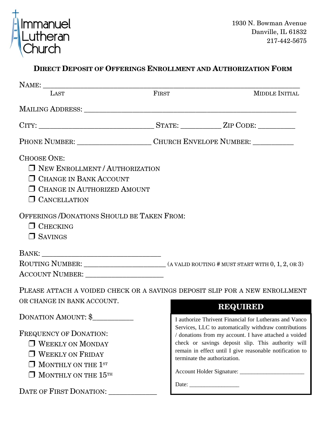

## **DIRECT DEPOSIT OF OFFERINGS ENROLLMENT AND AUTHORIZATION FORM**

| LAST                                                                                                                                                        | FIRST                                                                             | <b>MIDDLE INITIAL</b>                                                                                          |
|-------------------------------------------------------------------------------------------------------------------------------------------------------------|-----------------------------------------------------------------------------------|----------------------------------------------------------------------------------------------------------------|
|                                                                                                                                                             |                                                                                   |                                                                                                                |
|                                                                                                                                                             |                                                                                   |                                                                                                                |
|                                                                                                                                                             | PHONE NUMBER: _______________________________CHURCH ENVELOPE NUMBER: ____________ |                                                                                                                |
| <b>CHOOSE ONE:</b><br><b>NEW ENROLLMENT/AUTHORIZATION</b><br><b>O CHANGE IN BANK ACCOUNT</b><br><b>O CHANGE IN AUTHORIZED AMOUNT</b><br><b>CANCELLATION</b> |                                                                                   |                                                                                                                |
| OFFERINGS/DONATIONS SHOULD BE TAKEN FROM:<br>$\Box$ CHECKING<br>$\Box$ SAVINGS                                                                              |                                                                                   |                                                                                                                |
|                                                                                                                                                             |                                                                                   |                                                                                                                |
|                                                                                                                                                             |                                                                                   |                                                                                                                |
|                                                                                                                                                             |                                                                                   |                                                                                                                |
| PLEASE ATTACH A VOIDED CHECK OR A SAVINGS DEPOSIT SLIP FOR A NEW ENROLLMENT                                                                                 |                                                                                   |                                                                                                                |
| OR CHANGE IN BANK ACCOUNT.                                                                                                                                  |                                                                                   | <b>REQUIRED</b>                                                                                                |
| <b>DONATION AMOUNT: \$</b>                                                                                                                                  |                                                                                   | I authorize Thrivent Financial for Lutherans and Vanco                                                         |
| FREQUENCY OF DONATION:                                                                                                                                      |                                                                                   | Services, LLC to automatically withdraw contributions<br>/ donations from my account. I have attached a voided |
| $\Box$ WEEKLY ON MONDAY                                                                                                                                     |                                                                                   | check or savings deposit slip. This authority will                                                             |
| <b>J WEEKLY ON FRIDAY</b>                                                                                                                                   |                                                                                   | remain in effect until I give reasonable notification to                                                       |
| $\Box$ MONTHLY ON THE $1^{\rm sr}$                                                                                                                          |                                                                                   | terminate the authorization.                                                                                   |
| MONTHLY ON THE 15TH                                                                                                                                         |                                                                                   |                                                                                                                |
| DATE OF FIRST DONATION:                                                                                                                                     |                                                                                   |                                                                                                                |